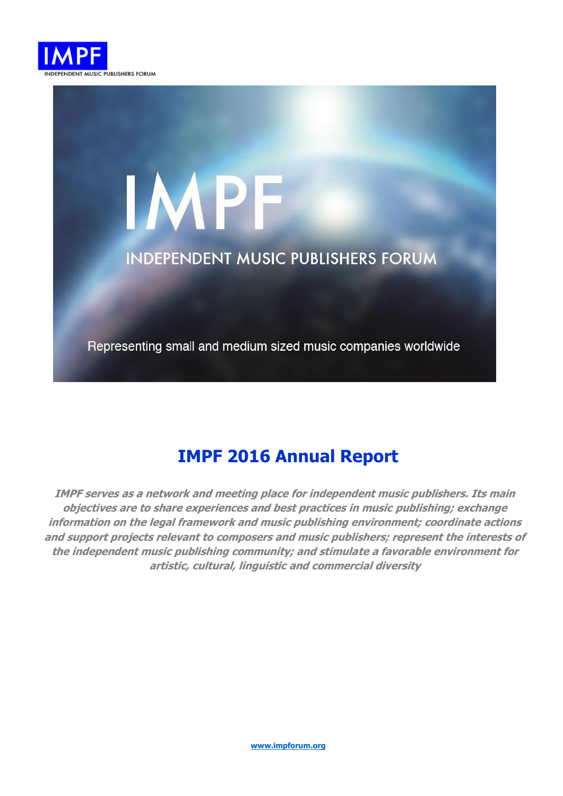

# IMPF **INDEPENDENT MUSIC PUBLISHERS FORUM**

Representing small and medium sized music companies worldwide

# **IMPF 2016 Annual Report**

**IMPF serves as a network and meeting place for independent music publishers. Its main objectives are to share experiences and best practices in music publishing; exchange information on the legal framework and music publishing environment; coordinate actions and support projects relevant to composers and music publishers; represent the interests of the independent music publishing community; and stimulate a favorable environment for artistic, cultural, linguistic and commercial diversity**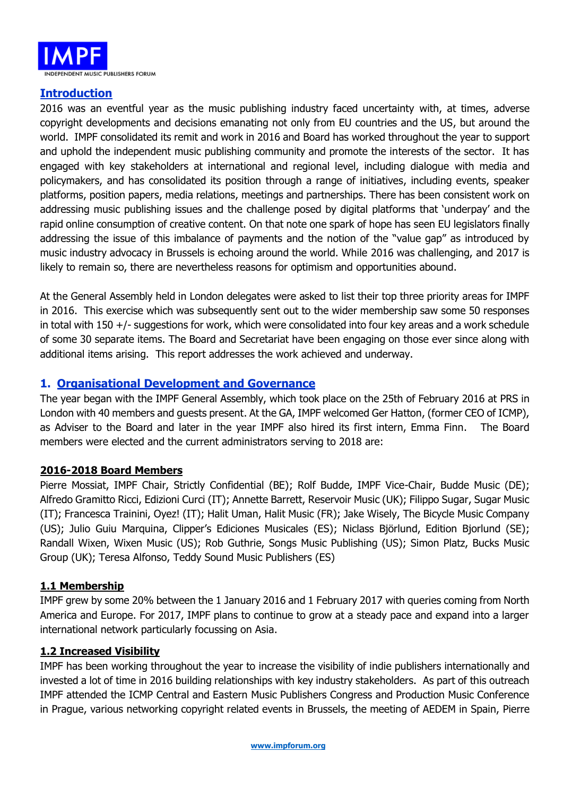

# **Introduction**

2016 was an eventful year as the music publishing industry faced uncertainty with, at times, adverse copyright developments and decisions emanating not only from EU countries and the US, but around the world. IMPF consolidated its remit and work in 2016 and Board has worked throughout the year to support and uphold the independent music publishing community and promote the interests of the sector. It has engaged with key stakeholders at international and regional level, including dialogue with media and policymakers, and has consolidated its position through a range of initiatives, including events, speaker platforms, position papers, media relations, meetings and partnerships. There has been consistent work on addressing music publishing issues and the challenge posed by digital platforms that 'underpay' and the rapid online consumption of creative content. On that note one spark of hope has seen EU legislators finally addressing the issue of this imbalance of payments and the notion of the "value gap" as introduced by music industry advocacy in Brussels is echoing around the world. While 2016 was challenging, and 2017 is likely to remain so, there are nevertheless reasons for optimism and opportunities abound.

At the General Assembly held in London delegates were asked to list their top three priority areas for IMPF in 2016. This exercise which was subsequently sent out to the wider membership saw some 50 responses in total with 150 +/- suggestions for work, which were consolidated into four key areas and a work schedule of some 30 separate items. The Board and Secretariat have been engaging on those ever since along with additional items arising. This report addresses the work achieved and underway.

# **1. Organisational Development and Governance**

The year began with the IMPF General Assembly, which took place on the 25th of February 2016 at PRS in London with 40 members and guests present. At the GA, IMPF welcomed Ger Hatton, (former CEO of ICMP), as Adviser to the Board and later in the year IMPF also hired its first intern, Emma Finn. The Board members were elected and the current administrators serving to 2018 are:

# **2016-2018 Board Members**

Pierre Mossiat, IMPF Chair, Strictly Confidential (BE); Rolf Budde, IMPF Vice-Chair, Budde Music (DE); Alfredo Gramitto Ricci, Edizioni Curci (IT); Annette Barrett, Reservoir Music (UK); Filippo Sugar, Sugar Music (IT); Francesca Trainini, Oyez! (IT); Halit Uman, Halit Music (FR); Jake Wisely, The Bicycle Music Company (US); Julio Guiu Marquina, Clipper's Ediciones Musicales (ES); Niclass Björlund, Edition Bjorlund (SE); Randall Wixen, Wixen Music (US); Rob Guthrie, Songs Music Publishing (US); Simon Platz, Bucks Music Group (UK); Teresa Alfonso, Teddy Sound Music Publishers (ES)

#### **1.1 Membership**

IMPF grew by some 20% between the 1 January 2016 and 1 February 2017 with queries coming from North America and Europe. For 2017, IMPF plans to continue to grow at a steady pace and expand into a larger international network particularly focussing on Asia.

#### **1.2 Increased Visibility**

IMPF has been working throughout the year to increase the visibility of indie publishers internationally and invested a lot of time in 2016 building relationships with key industry stakeholders. As part of this outreach IMPF attended the ICMP Central and Eastern Music Publishers Congress and Production Music Conference in Prague, various networking copyright related events in Brussels, the meeting of AEDEM in Spain, Pierre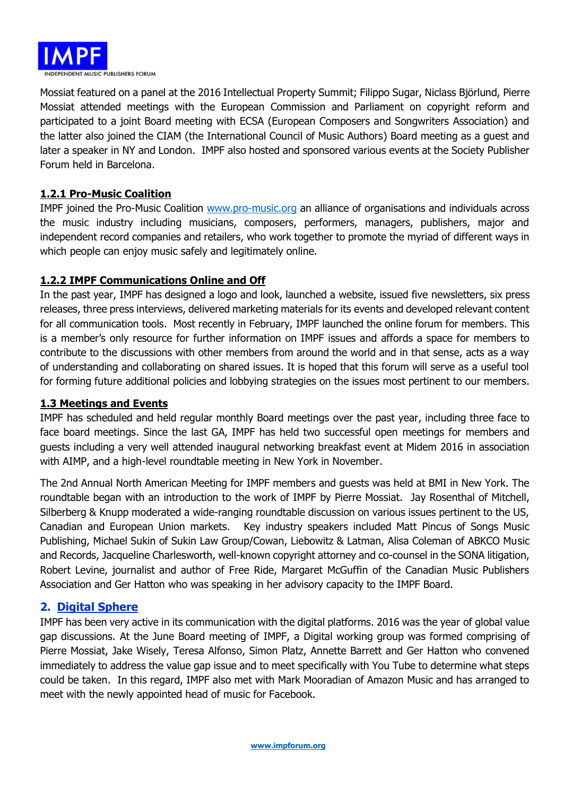

Mossiat featured on a panel at the 2016 Intellectual Property Summit; Filippo Sugar, Niclass Björlund, Pierre Mossiat attended meetings with the European Commission and Parliament on copyright reform and participated to a joint Board meeting with ECSA (European Composers and Songwriters Association) and the latter also joined the CIAM (the International Council of Music Authors) Board meeting as a guest and later a speaker in NY and London. IMPF also hosted and sponsored various events at the Society Publisher Forum held in Barcelona.

### **1.2.1 Pro-Music Coalition**

IMPF joined the Pro-Music Coalition [www.pro-music.org](http://www.pro-music.org/) an alliance of organisations and individuals across the music industry including musicians, composers, performers, managers, publishers, major and independent record companies and retailers, who work together to promote the myriad of different ways in which people can enjoy music safely and legitimately online.

#### **1.2.2 IMPF Communications Online and Off**

In the past year, IMPF has designed a logo and look, launched a website, issued five newsletters, six press releases, three press interviews, delivered marketing materials for its events and developed relevant content for all communication tools. Most recently in February, IMPF launched the online forum for members. This is a member's only resource for further information on IMPF issues and affords a space for members to contribute to the discussions with other members from around the world and in that sense, acts as a way of understanding and collaborating on shared issues. It is hoped that this forum will serve as a useful tool for forming future additional policies and lobbying strategies on the issues most pertinent to our members.

#### **1.3 Meetings and Events**

IMPF has scheduled and held regular monthly Board meetings over the past year, including three face to face board meetings. Since the last GA, IMPF has held two successful open meetings for members and guests including a very well attended inaugural networking breakfast event at Midem 2016 in association with AIMP, and a high-level roundtable meeting in New York in November.

The 2nd Annual North American Meeting for IMPF members and guests was held at BMI in New York. The roundtable began with an introduction to the work of IMPF by Pierre Mossiat. Jay Rosenthal of Mitchell, Silberberg & Knupp moderated a wide-ranging roundtable discussion on various issues pertinent to the US, Canadian and European Union markets. Key industry speakers included Matt Pincus of Songs Music Publishing, Michael Sukin of Sukin Law Group/Cowan, Liebowitz & Latman, Alisa Coleman of ABKCO Music and Records, Jacqueline Charlesworth, well-known copyright attorney and co-counsel in the SONA litigation, Robert Levine, journalist and author of Free Ride, Margaret McGuffin of the Canadian Music Publishers Association and Ger Hatton who was speaking in her advisory capacity to the IMPF Board.

#### **2. Digital Sphere**

IMPF has been very active in its communication with the digital platforms. 2016 was the year of global value gap discussions. At the June Board meeting of IMPF, a Digital working group was formed comprising of Pierre Mossiat, Jake Wisely, Teresa Alfonso, Simon Platz, Annette Barrett and Ger Hatton who convened immediately to address the value gap issue and to meet specifically with You Tube to determine what steps could be taken. In this regard, IMPF also met with Mark Mooradian of Amazon Music and has arranged to meet with the newly appointed head of music for Facebook.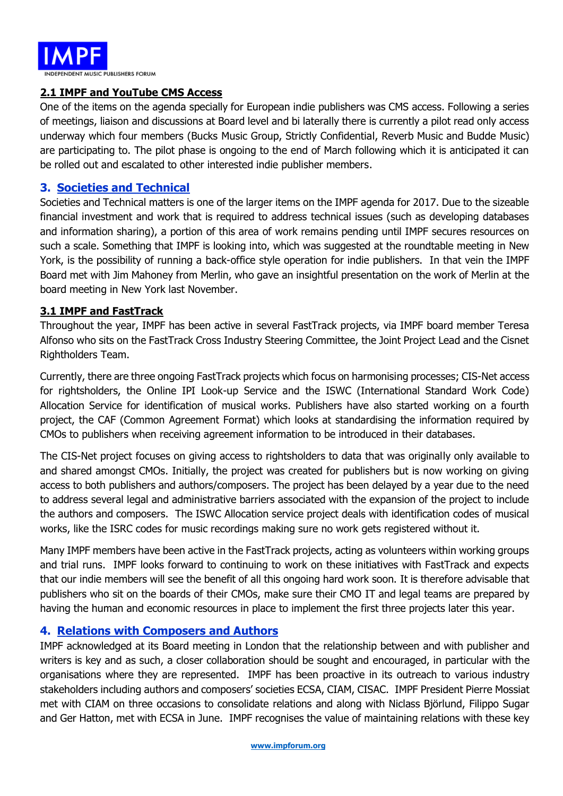

#### **2.1 IMPF and YouTube CMS Access**

One of the items on the agenda specially for European indie publishers was CMS access. Following a series of meetings, liaison and discussions at Board level and bi laterally there is currently a pilot read only access underway which four members (Bucks Music Group, Strictly Confidential, Reverb Music and Budde Music) are participating to. The pilot phase is ongoing to the end of March following which it is anticipated it can be rolled out and escalated to other interested indie publisher members.

#### **3. Societies and Technical**

Societies and Technical matters is one of the larger items on the IMPF agenda for 2017. Due to the sizeable financial investment and work that is required to address technical issues (such as developing databases and information sharing), a portion of this area of work remains pending until IMPF secures resources on such a scale. Something that IMPF is looking into, which was suggested at the roundtable meeting in New York, is the possibility of running a back-office style operation for indie publishers. In that vein the IMPF Board met with Jim Mahoney from Merlin, who gave an insightful presentation on the work of Merlin at the board meeting in New York last November.

#### **3.1 IMPF and FastTrack**

Throughout the year, IMPF has been active in several FastTrack projects, via IMPF board member Teresa Alfonso who sits on the FastTrack Cross Industry Steering Committee, the Joint Project Lead and the Cisnet Rightholders Team.

Currently, there are three ongoing FastTrack projects which focus on harmonising processes; CIS-Net access for rightsholders, the Online IPI Look-up Service and the ISWC (International Standard Work Code) Allocation Service for identification of musical works. Publishers have also started working on a fourth project, the CAF (Common Agreement Format) which looks at standardising the information required by CMOs to publishers when receiving agreement information to be introduced in their databases.

The CIS-Net project focuses on giving access to rightsholders to data that was originally only available to and shared amongst CMOs. Initially, the project was created for publishers but is now working on giving access to both publishers and authors/composers. The project has been delayed by a year due to the need to address several legal and administrative barriers associated with the expansion of the project to include the authors and composers. The ISWC Allocation service project deals with identification codes of musical works, like the ISRC codes for music recordings making sure no work gets registered without it.

Many IMPF members have been active in the FastTrack projects, acting as volunteers within working groups and trial runs. IMPF looks forward to continuing to work on these initiatives with FastTrack and expects that our indie members will see the benefit of all this ongoing hard work soon. It is therefore advisable that publishers who sit on the boards of their CMOs, make sure their CMO IT and legal teams are prepared by having the human and economic resources in place to implement the first three projects later this year.

#### **4. Relations with Composers and Authors**

IMPF acknowledged at its Board meeting in London that the relationship between and with publisher and writers is key and as such, a closer collaboration should be sought and encouraged, in particular with the organisations where they are represented. IMPF has been proactive in its outreach to various industry stakeholders including authors and composers' societies ECSA, CIAM, CISAC. IMPF President Pierre Mossiat met with CIAM on three occasions to consolidate relations and along with Niclass Björlund, Filippo Sugar and Ger Hatton, met with ECSA in June. IMPF recognises the value of maintaining relations with these key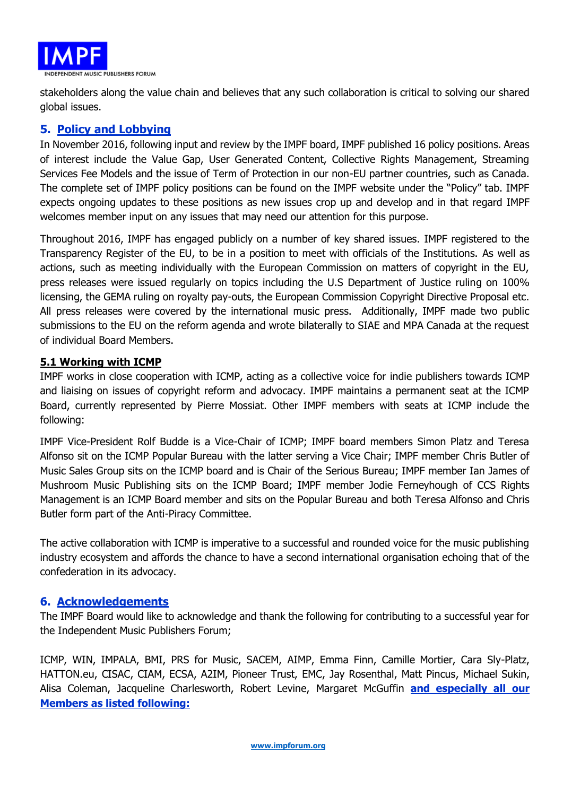

stakeholders along the value chain and believes that any such collaboration is critical to solving our shared global issues.

# **5. Policy and Lobbying**

In November 2016, following input and review by the IMPF board, IMPF published 16 policy positions. Areas of interest include the Value Gap, User Generated Content, Collective Rights Management, Streaming Services Fee Models and the issue of Term of Protection in our non-EU partner countries, such as Canada. The complete set of IMPF policy positions can be found on the IMPF website under the "Policy" tab. IMPF expects ongoing updates to these positions as new issues crop up and develop and in that regard IMPF welcomes member input on any issues that may need our attention for this purpose.

Throughout 2016, IMPF has engaged publicly on a number of key shared issues. IMPF registered to the Transparency Register of the EU, to be in a position to meet with officials of the Institutions. As well as actions, such as meeting individually with the European Commission on matters of copyright in the EU, press releases were issued regularly on topics including the U.S Department of Justice ruling on 100% licensing, the GEMA ruling on royalty pay-outs, the European Commission Copyright Directive Proposal etc. All press releases were covered by the international music press. Additionally, IMPF made two public submissions to the EU on the reform agenda and wrote bilaterally to SIAE and MPA Canada at the request of individual Board Members.

#### **5.1 Working with ICMP**

IMPF works in close cooperation with ICMP, acting as a collective voice for indie publishers towards ICMP and liaising on issues of copyright reform and advocacy. IMPF maintains a permanent seat at the ICMP Board, currently represented by Pierre Mossiat. Other IMPF members with seats at ICMP include the following:

IMPF Vice-President Rolf Budde is a Vice-Chair of ICMP; IMPF board members Simon Platz and Teresa Alfonso sit on the ICMP Popular Bureau with the latter serving a Vice Chair; IMPF member Chris Butler of Music Sales Group sits on the ICMP board and is Chair of the Serious Bureau; IMPF member Ian James of Mushroom Music Publishing sits on the ICMP Board; IMPF member Jodie Ferneyhough of CCS Rights Management is an ICMP Board member and sits on the Popular Bureau and both Teresa Alfonso and Chris Butler form part of the Anti-Piracy Committee.

The active collaboration with ICMP is imperative to a successful and rounded voice for the music publishing industry ecosystem and affords the chance to have a second international organisation echoing that of the confederation in its advocacy.

#### **6. Acknowledgements**

The IMPF Board would like to acknowledge and thank the following for contributing to a successful year for the Independent Music Publishers Forum;

ICMP, WIN, IMPALA, BMI, PRS for Music, SACEM, AIMP, Emma Finn, Camille Mortier, Cara Sly-Platz, HATTON.eu, CISAC, CIAM, ECSA, A2IM, Pioneer Trust, EMC, Jay Rosenthal, Matt Pincus, Michael Sukin, Alisa Coleman, Jacqueline Charlesworth, Robert Levine, Margaret McGuffin **and especially all our Members as listed following:**